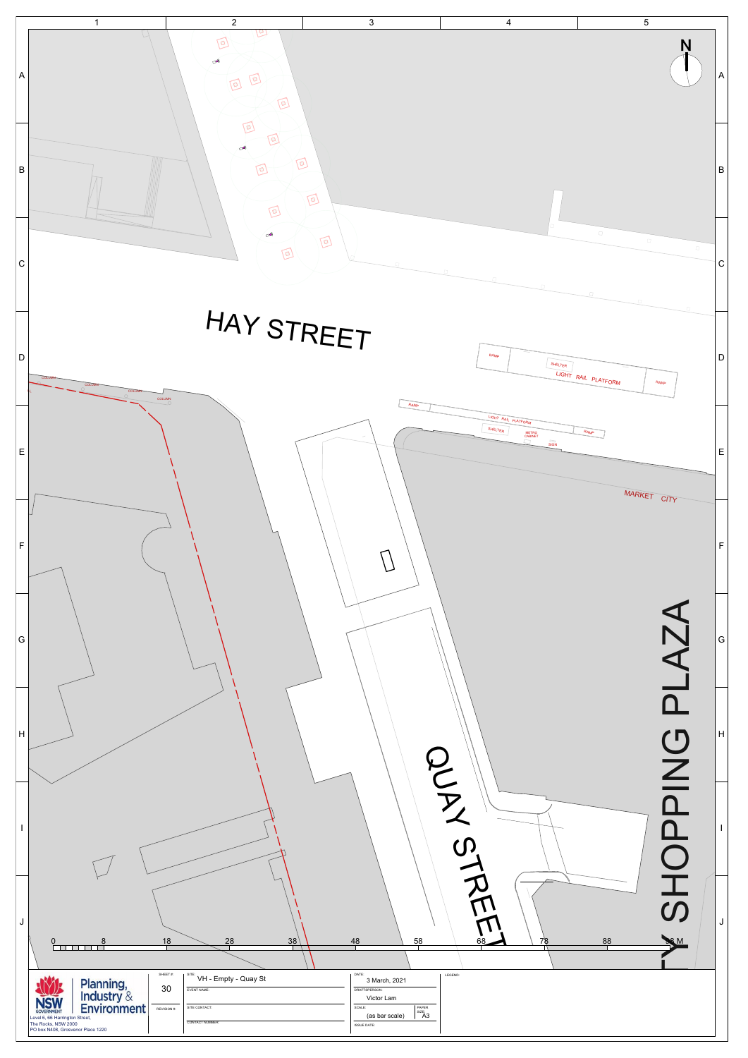